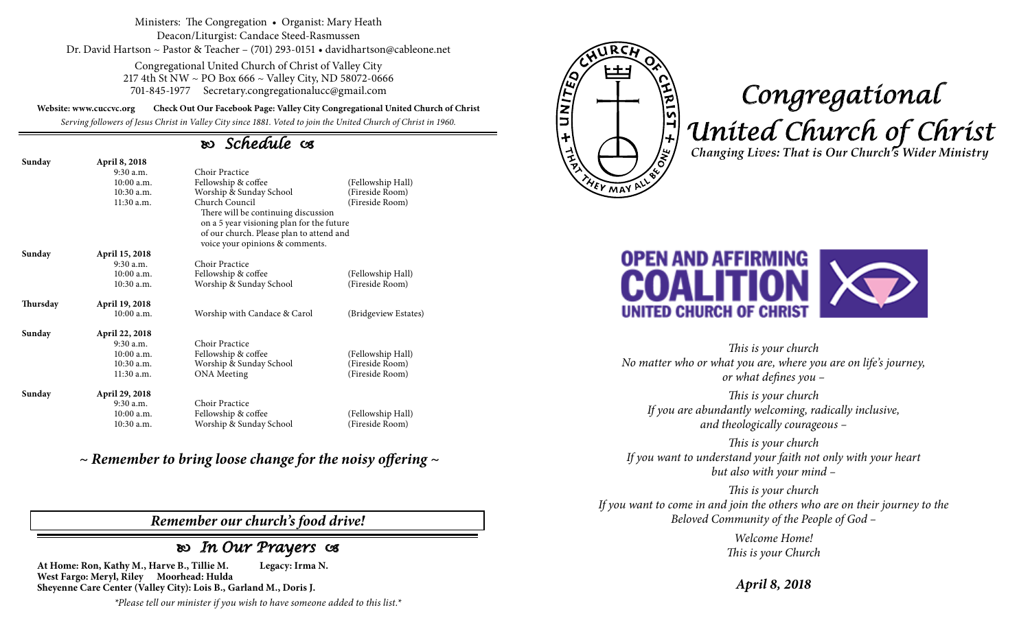Ministers: The Congregation • Organist: Mary Heath Deacon/Liturgist: Candace Steed-Rasmussen Dr. David Hartson ~ Pastor & Teacher – (701) 293-0151 • davidhartson@cableone.net

> Congregational United Church of Christ of Valley City 217 4th St NW ~ PO Box 666 ~ Valley City, ND 58072-0666 701-845-1977 Secretary.congregationalucc@gmail.com

**Website: www.cuccvc.org Check Out Our Facebook Page: Valley City Congregational United Church of Christ**

*Serving followers of Jesus Christ in Valley City since 1881. Voted to join the United Church of Christ in 1960.*

## *Schedule*

| Sunday   | April 8, 2018  |                                                                                                                                                                   |                      |
|----------|----------------|-------------------------------------------------------------------------------------------------------------------------------------------------------------------|----------------------|
|          | $9:30$ a.m.    | Choir Practice                                                                                                                                                    |                      |
|          | 10:00a.m.      | Fellowship & coffee                                                                                                                                               | (Fellowship Hall)    |
|          | 10:30 a.m.     | Worship & Sunday School                                                                                                                                           | (Fireside Room)      |
|          | 11:30 a.m.     | Church Council<br>(Fireside Room)<br>There will be continuing discussion<br>on a 5 year visioning plan for the future<br>of our church. Please plan to attend and |                      |
|          |                | voice your opinions & comments.                                                                                                                                   |                      |
| Sunday   | April 15, 2018 |                                                                                                                                                                   |                      |
|          | $9:30$ a.m.    | Choir Practice                                                                                                                                                    |                      |
|          | $10:00$ a.m.   | Fellowship & coffee                                                                                                                                               | (Fellowship Hall)    |
|          | 10:30 a.m.     | Worship & Sunday School                                                                                                                                           | (Fireside Room)      |
| Thursday | April 19, 2018 |                                                                                                                                                                   |                      |
|          | $10:00$ a.m.   | Worship with Candace & Carol                                                                                                                                      | (Bridgeview Estates) |
| Sunday   | April 22, 2018 |                                                                                                                                                                   |                      |
|          | 9:30 a.m.      | Choir Practice                                                                                                                                                    |                      |
|          | $10:00$ a.m.   | Fellowship & coffee                                                                                                                                               | (Fellowship Hall)    |
|          | $10:30$ a.m.   | Worship & Sunday School                                                                                                                                           | (Fireside Room)      |
|          | 11:30 a.m.     | <b>ONA</b> Meeting                                                                                                                                                | (Fireside Room)      |
| Sunday   | April 29, 2018 |                                                                                                                                                                   |                      |
|          | $9:30$ a.m.    | Choir Practice                                                                                                                                                    |                      |
|          | $10:00$ a.m.   | Fellowship & coffee                                                                                                                                               | (Fellowship Hall)    |
|          | 10:30 a.m.     | Worship & Sunday School                                                                                                                                           | (Fireside Room)      |

*~ Remember to bring loose change for the noisy offering ~*

## *Remember our church's food drive!*

## *In Our Prayers*

**At Home: Ron, Kathy M., Harve B., Tillie M. Legacy: Irma N. West Fargo: Meryl, Riley Moorhead: Hulda Sheyenne Care Center (Valley City): Lois B., Garland M., Doris J.**

*\*Please tell our minister if you wish to have someone added to this list.\**



## *Congregational United Church of Christ Changing Lives: That is Our Church's Wider Ministry*



*This is your church No matter who or what you are, where you are on life's journey, or what defines you –*

*This is your church If you are abundantly welcoming, radically inclusive, and theologically courageous –*

*This is your church If you want to understand your faith not only with your heart but also with your mind –*

*This is your church If you want to come in and join the others who are on their journey to the Beloved Community of the People of God –*

> *Welcome Home! This is your Church*

*April 8, 2018*